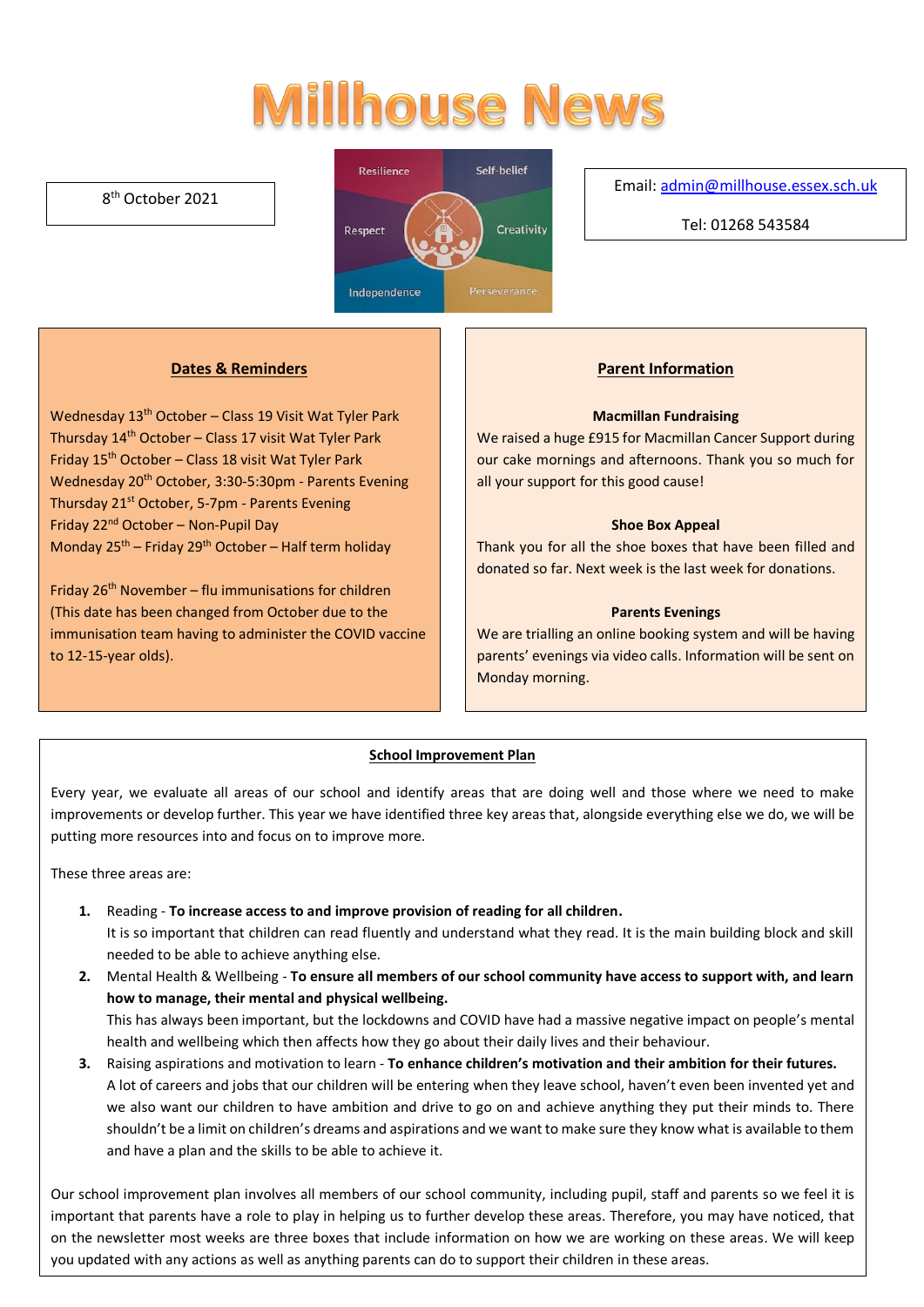# **Millhouse News**

# 8 th October 2021



#### Email[: admin@millhouse.essex.sch.uk](mailto:admin@millhouse.essex.sch.uk)

Tel: 01268 543584

# **Dates & Reminders**

Wednesday 13<sup>th</sup> October – Class 19 Visit Wat Tyler Park Thursday  $14<sup>th</sup>$  October – Class 17 visit Wat Tyler Park Friday 15th October – Class 18 visit Wat Tyler Park Wednesday 20<sup>th</sup> October, 3:30-5:30pm - Parents Evening Thursday 21<sup>st</sup> October, 5-7pm - Parents Evening Friday 22nd October – Non-Pupil Day Monday  $25^{th}$  – Friday 29<sup>th</sup> October – Half term holiday

Friday  $26<sup>th</sup>$  November – flu immunisations for children (This date has been changed from October due to the immunisation team having to administer the COVID vaccine to 12-15-year olds).

### **Parent Information**

#### **Macmillan Fundraising**

We raised a huge £915 for Macmillan Cancer Support during our cake mornings and afternoons. Thank you so much for all your support for this good cause!

#### **Shoe Box Appeal**

Thank you for all the shoe boxes that have been filled and donated so far. Next week is the last week for donations.

#### **Parents Evenings**

We are trialling an online booking system and will be having parents' evenings via video calls. Information will be sent on Monday morning.

#### **School Improvement Plan**

Every year, we evaluate all areas of our school and identify areas that are doing well and those where we need to make improvements or develop further. This year we have identified three key areas that, alongside everything else we do, we will be putting more resources into and focus on to improve more.

These three areas are:

**1.** Reading - **To increase access to and improve provision of reading for all children.** 

It is so important that children can read fluently and understand what they read. It is the main building block and skill needed to be able to achieve anything else.

- **2.** Mental Health & Wellbeing **To ensure all members of our school community have access to support with, and learn how to manage, their mental and physical wellbeing.** This has always been important, but the lockdowns and COVID have had a massive negative impact on people's mental
- health and wellbeing which then affects how they go about their daily lives and their behaviour. **3.** Raising aspirations and motivation to learn - **To enhance children's motivation and their ambition for their futures.** A lot of careers and jobs that our children will be entering when they leave school, haven't even been invented yet and we also want our children to have ambition and drive to go on and achieve anything they put their minds to. There shouldn't be a limit on children's dreams and aspirations and we want to make sure they know what is available to them and have a plan and the skills to be able to achieve it.

Our school improvement plan involves all members of our school community, including pupil, staff and parents so we feel it is important that parents have a role to play in helping us to further develop these areas. Therefore, you may have noticed, that on the newsletter most weeks are three boxes that include information on how we are working on these areas. We will keep you updated with any actions as well as anything parents can do to support their children in these areas.